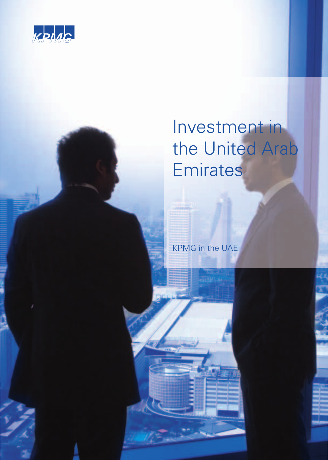

# Investment in the United Arab **Emirates**

KPMG in the UAE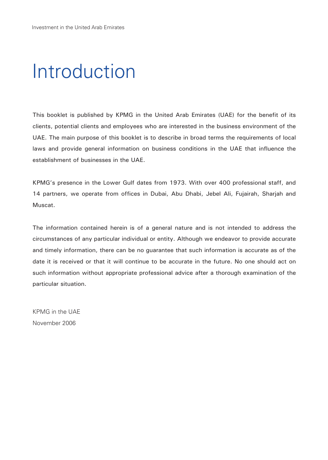# Introduction

This booklet is published by KPMG in the United Arab Emirates (UAE) for the benefit of its clients, potential clients and employees who are interested in the business environment of the UAE. The main purpose of this booklet is to describe in broad terms the requirements of local laws and provide general information on business conditions in the UAE that influence the establishment of businesses in the UAE.

KPMG's presence in the Lower Gulf dates from 1973. With over 400 professional staff, and 14 partners, we operate from offices in Dubai, Abu Dhabi, Jebel Ali, Fujairah, Sharjah and Muscat.

The information contained herein is of a general nature and is not intended to address the circumstances of any particular individual or entity. Although we endeavor to provide accurate and timely information, there can be no guarantee that such information is accurate as of the date it is received or that it will continue to be accurate in the future. No one should act on such information without appropriate professional advice after a thorough examination of the particular situation.

KPMG in the UAE November 2006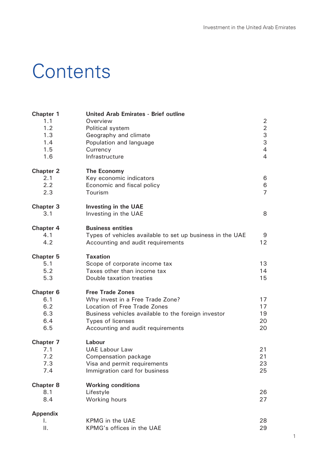# **Contents**

| Chapter 1<br>1.1<br>1.2<br>1.3<br>1.4<br>1.5<br>1.6 | <b>United Arab Emirates - Brief outline</b><br>Overview<br>Political system<br>Geography and climate<br>Population and language<br>Currency<br>Infrastructure                                                | 2<br>$\overline{2}$<br>3<br>3<br>$\overline{4}$<br>$\overline{4}$ |
|-----------------------------------------------------|--------------------------------------------------------------------------------------------------------------------------------------------------------------------------------------------------------------|-------------------------------------------------------------------|
| Chapter 2<br>2.1<br>2.2<br>2.3                      | The Economy<br>Key economic indicators<br>Economic and fiscal policy<br>Tourism                                                                                                                              | 6<br>6<br>$\overline{7}$                                          |
| Chapter 3<br>3.1                                    | Investing in the UAE<br>Investing in the UAE                                                                                                                                                                 | 8                                                                 |
| Chapter 4<br>4.1<br>4.2                             | <b>Business entities</b><br>Types of vehicles available to set up business in the UAE<br>Accounting and audit requirements                                                                                   | 9<br>$12 \overline{ }$                                            |
| Chapter 5<br>5.1<br>5.2<br>5.3                      | <b>Taxation</b><br>Scope of corporate income tax<br>Taxes other than income tax<br>Double taxation treaties                                                                                                  | 13<br>14<br>15                                                    |
| Chapter 6<br>6.1<br>6.2<br>6.3<br>6.4<br>6.5        | <b>Free Trade Zones</b><br>Why invest in a Free Trade Zone?<br>Location of Free Trade Zones<br>Business vehicles available to the foreign investor<br>Types of licenses<br>Accounting and audit requirements | 17<br>17<br>19<br>20<br>20                                        |
| Chapter 7<br>7.1<br>7.2<br>7.3<br>7.4               | Labour<br><b>UAE Labour Law</b><br>Compensation package<br>Visa and permit requirements<br>Immigration card for business                                                                                     | 21<br>21<br>23<br>25                                              |
| Chapter 8<br>8.1<br>8.4                             | <b>Working conditions</b><br>Lifestyle<br>Working hours                                                                                                                                                      | 26<br>27                                                          |
| Appendix<br>I.<br>ΙΙ.                               | <b>KPMG</b> in the UAE<br>KPMG's offices in the UAE                                                                                                                                                          | 28<br>29                                                          |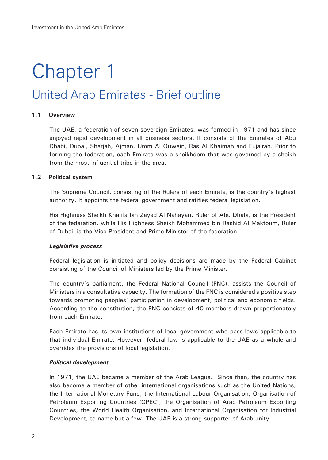# Chapter 1

# United Arab Emirates - Brief outline

### **1.1 Overview**

The UAE, a federation of seven sovereign Emirates, was formed in 1971 and has since enjoyed rapid development in all business sectors. It consists of the Emirates of Abu Dhabi, Dubai, Sharjah, Ajman, Umm Al Quwain, Ras Al Khaimah and Fujairah. Prior to forming the federation, each Emirate was a sheikhdom that was governed by a sheikh from the most influential tribe in the area.

#### **1.2 Political system**

The Supreme Council, consisting of the Rulers of each Emirate, is the country's highest authority. It appoints the federal government and ratifies federal legislation.

His Highness Sheikh Khalifa bin Zayed Al Nahayan, Ruler of Abu Dhabi, is the President of the federation, while His Highness Sheikh Mohammed bin Rashid Al Maktoum, Ruler of Dubai, is the Vice President and Prime Minister of the federation.

#### *Legislative process*

Federal legislation is initiated and policy decisions are made by the Federal Cabinet consisting of the Council of Ministers led by the Prime Minister.

The country's parliament, the Federal National Council (FNC), assists the Council of Ministers in a consultative capacity. The formation of the FNC is considered a positive step towards promoting peoples' participation in development, political and economic fields. According to the constitution, the FNC consists of 40 members drawn proportionately from each Emirate.

Each Emirate has its own institutions of local government who pass laws applicable to that individual Emirate. However, federal law is applicable to the UAE as a whole and overrides the provisions of local legislation.

#### *Political development*

In 1971, the UAE became a member of the Arab League. Since then, the country has also become a member of other international organisations such as the United Nations, the International Monetary Fund, the International Labour Organisation, Organisation of Petroleum Exporting Countries (OPEC), the Organisation of Arab Petroleum Exporting Countries, the World Health Organisation, and International Organisation for Industrial Development, to name but a few. The UAE is a strong supporter of Arab unity.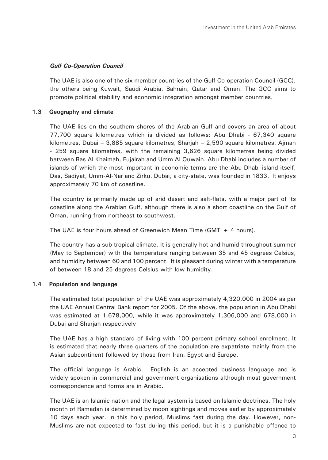# *Gulf Co-Operation Council*

The UAE is also one of the six member countries of the Gulf Co-operation Council (GCC), the others being Kuwait, Saudi Arabia, Bahrain, Qatar and Oman. The GCC aims to promote political stability and economic integration amongst member countries.

# **1.3 Geography and climate**

The UAE lies on the southern shores of the Arabian Gulf and covers an area of about 77,700 square kilometres which is divided as follows: Abu Dhabi - 67,340 square kilometres, Dubai – 3,885 square kilometres, Sharjah – 2,590 square kilometres, Ajman - 259 square kilometres, with the remaining 3,626 square kilometres being divided between Ras Al Khaimah, Fujairah and Umm Al Quwain. Abu Dhabi includes a number of islands of which the most important in economic terms are the Abu Dhabi island itself, Das, Sadiyat, Umm-Al-Nar and Zirku. Dubai, a city-state, was founded in 1833. It enjoys approximately 70 km of coastline.

The country is primarily made up of arid desert and salt-flats, with a major part of its coastline along the Arabian Gulf, although there is also a short coastline on the Gulf of Oman, running from northeast to southwest.

The UAE is four hours ahead of Greenwich Mean Time  $(GMT + 4 \text{ hours})$ .

The country has a sub tropical climate. It is generally hot and humid throughout summer (May to September) with the temperature ranging between 35 and 45 degrees Celsius, and humidity between 60 and 100 percent. It is pleasant during winter with a temperature of between 18 and 25 degrees Celsius with low humidity.

# **1.4 Population and language**

The estimated total population of the UAE was approximately 4,320,000 in 2004 as per the UAE Annual Central Bank report for 2005. Of the above, the population in Abu Dhabi was estimated at 1,678,000, while it was approximately 1,306,000 and 678,000 in Dubai and Sharjah respectively.

The UAE has a high standard of living with 100 percent primary school enrolment. It is estimated that nearly three quarters of the population are expatriate mainly from the Asian subcontinent followed by those from Iran, Egypt and Europe.

The official language is Arabic. English is an accepted business language and is widely spoken in commercial and government organisations although most government correspondence and forms are in Arabic.

The UAE is an Islamic nation and the legal system is based on Islamic doctrines. The holy month of Ramadan is determined by moon sightings and moves earlier by approximately 10 days each year. In this holy period, Muslims fast during the day. However, non-Muslims are not expected to fast during this period, but it is a punishable offence to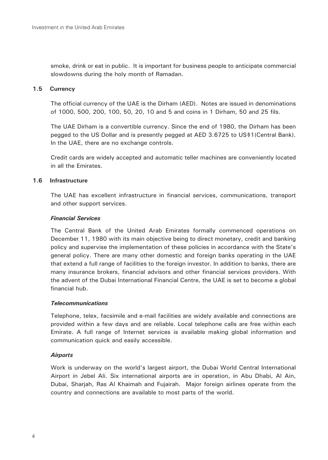smoke, drink or eat in public. It is important for business people to anticipate commercial slowdowns during the holy month of Ramadan.

# **1.5 Currency**

The official currency of the UAE is the Dirham (AED). Notes are issued in denominations of 1000, 500, 200, 100, 50, 20, 10 and 5 and coins in 1 Dirham, 50 and 25 fils.

The UAE Dirham is a convertible currency. Since the end of 1980, the Dirham has been pegged to the US Dollar and is presently pegged at AED 3.6725 to US\$1(Central Bank). In the UAE, there are no exchange controls.

Credit cards are widely accepted and automatic teller machines are conveniently located in all the Emirates.

### **1.6 Infrastructure**

The UAE has excellent infrastructure in financial services, communications, transport and other support services.

### *Financial Services*

The Central Bank of the United Arab Emirates formally commenced operations on December 11, 1980 with its main objective being to direct monetary, credit and banking policy and supervise the implementation of these policies in accordance with the State's general policy. There are many other domestic and foreign banks operating in the UAE that extend a full range of facilities to the foreign investor. In addition to banks, there are many insurance brokers, financial advisors and other financial services providers. With the advent of the Dubai International Financial Centre, the UAE is set to become a global financial hub.

#### *Telecommunications*

Telephone, telex, facsimile and e-mail facilities are widely available and connections are provided within a few days and are reliable. Local telephone calls are free within each Emirate. A full range of Internet services is available making global information and communication quick and easily accessible.

# *Airports*

Work is underway on the world's largest airport, the Dubai World Central International Airport in Jebel Ali. Six international airports are in operation, in Abu Dhabi, Al Ain, Dubai, Sharjah, Ras Al Khaimah and Fujairah. Major foreign airlines operate from the country and connections are available to most parts of the world.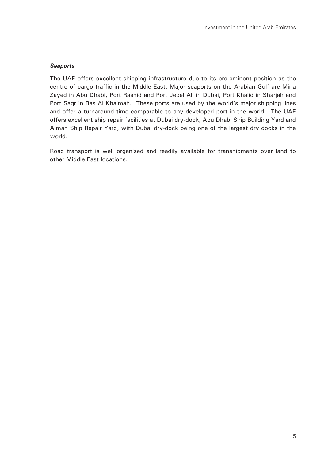#### *Seaports*

The UAE offers excellent shipping infrastructure due to its pre-eminent position as the centre of cargo traffic in the Middle East. Major seaports on the Arabian Gulf are Mina Zayed in Abu Dhabi, Port Rashid and Port Jebel Ali in Dubai, Port Khalid in Sharjah and Port Saqr in Ras Al Khaimah. These ports are used by the world's major shipping lines and offer a turnaround time comparable to any developed port in the world. The UAE offers excellent ship repair facilities at Dubai dry-dock, Abu Dhabi Ship Building Yard and Ajman Ship Repair Yard, with Dubai dry-dock being one of the largest dry docks in the world.

Road transport is well organised and readily available for transhipments over land to other Middle East locations.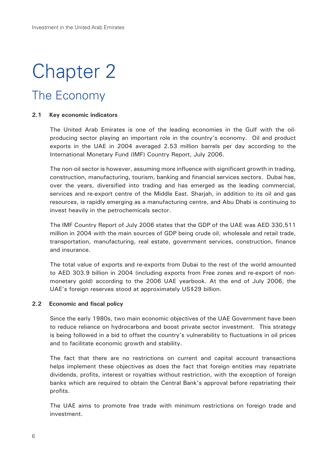# Chapter 2

# The Economy

### **2.1 Key economic indicators**

The United Arab Emirates is one of the leading economies in the Gulf with the oilproducing sector playing an important role in the country's economy. Oil and product exports in the UAE in 2004 averaged 2.53 million barrels per day according to the International Monetary Fund (IMF) Country Report, July 2006.

The non-oil sector is however, assuming more influence with significant growth in trading, construction, manufacturing, tourism, banking and financial services sectors. Dubai has, over the years, diversified into trading and has emerged as the leading commercial, services and re-export centre of the Middle East. Sharjah, in addition to its oil and gas resources, is rapidly emerging as a manufacturing centre, and Abu Dhabi is continuing to invest heavily in the petrochemicals sector.

The IMF Country Report of July 2006 states that the GDP of the UAE was AED 330,511 million in 2004 with the main sources of GDP being crude oil, wholesale and retail trade, transportation, manufacturing, real estate, government services, construction, finance and insurance.

The total value of exports and re-exports from Dubai to the rest of the world amounted to AED 303.9 billion in 2004 (including exports from Free zones and re-export of nonmonetary gold) according to the 2006 UAE yearbook. At the end of July 2006, the UAE's foreign reserves stood at approximately US\$29 billion.

#### **2.2 Economic and fiscal policy**

Since the early 1980s, two main economic objectives of the UAE Government have been to reduce reliance on hydrocarbons and boost private sector investment. This strategy is being followed in a bid to offset the country's vulnerability to fluctuations in oil prices and to facilitate economic growth and stability.

The fact that there are no restrictions on current and capital account transactions helps implement these objectives as does the fact that foreign entities may repatriate dividends, profits, interest or royalties without restriction, with the exception of foreign banks which are required to obtain the Central Bank's approval before repatriating their profits.

The UAE aims to promote free trade with minimum restrictions on foreign trade and investment.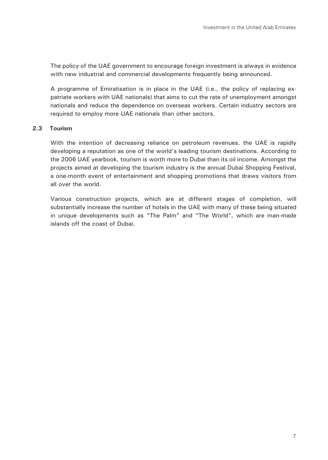The policy of the UAE government to encourage foreign investment is always in evidence with new industrial and commercial developments frequently being announced.

A programme of Emiratisation is in place in the UAE (i.e., the policy of replacing expatriate workers with UAE nationals) that aims to cut the rate of unemployment amongst nationals and reduce the dependence on overseas workers. Certain industry sectors are required to employ more UAE nationals than other sectors.

# **2.3 Tourism**

With the intention of decreasing reliance on petroleum revenues, the UAE is rapidly developing a reputation as one of the world's leading tourism destinations. According to the 2006 UAE yearbook, tourism is worth more to Dubai than its oil income. Amongst the projects aimed at developing the tourism industry is the annual Dubai Shopping Festival, a one-month event of entertainment and shopping promotions that draws visitors from all over the world.

Various construction projects, which are at different stages of completion, will substantially increase the number of hotels in the UAE with many of these being situated in unique developments such as "The Palm" and "The World", which are man-made islands off the coast of Dubai.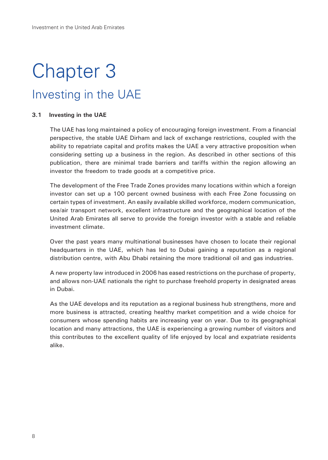# Chapter 3 Investing in the UAE

#### **3.1 Investing in the UAE**

The UAE has long maintained a policy of encouraging foreign investment. From a financial perspective, the stable UAE Dirham and lack of exchange restrictions, coupled with the ability to repatriate capital and profits makes the UAE a very attractive proposition when considering setting up a business in the region. As described in other sections of this publication, there are minimal trade barriers and tariffs within the region allowing an investor the freedom to trade goods at a competitive price.

The development of the Free Trade Zones provides many locations within which a foreign investor can set up a 100 percent owned business with each Free Zone focussing on certain types of investment. An easily available skilled workforce, modern communication, sea/air transport network, excellent infrastructure and the geographical location of the United Arab Emirates all serve to provide the foreign investor with a stable and reliable investment climate.

Over the past years many multinational businesses have chosen to locate their regional headquarters in the UAE, which has led to Dubai gaining a reputation as a regional distribution centre, with Abu Dhabi retaining the more traditional oil and gas industries.

A new property law introduced in 2006 has eased restrictions on the purchase of property, and allows non-UAE nationals the right to purchase freehold property in designated areas in Dubai.

As the UAE develops and its reputation as a regional business hub strengthens, more and more business is attracted, creating healthy market competition and a wide choice for consumers whose spending habits are increasing year on year. Due to its geographical location and many attractions, the UAE is experiencing a growing number of visitors and this contributes to the excellent quality of life enjoyed by local and expatriate residents alike.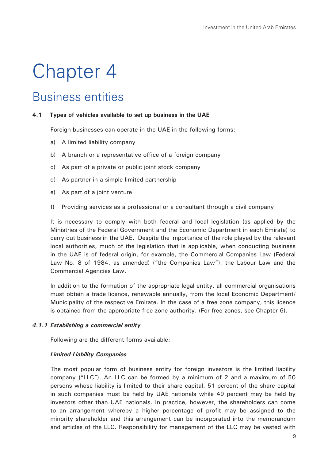# Chapter 4

# Business entities

#### **4.1 Types of vehicles available to set up business in the UAE**

Foreign businesses can operate in the UAE in the following forms:

- a) A limited liability company
- b) A branch or a representative office of a foreign company
- c) As part of a private or public joint stock company
- d) As partner in a simple limited partnership
- e) As part of a joint venture
- f) Providing services as a professional or a consultant through a civil company

It is necessary to comply with both federal and local legislation (as applied by the Ministries of the Federal Government and the Economic Department in each Emirate) to carry out business in the UAE. Despite the importance of the role played by the relevant local authorities, much of the legislation that is applicable, when conducting business in the UAE is of federal origin, for example, the Commercial Companies Law (Federal Law No. 8 of 1984, as amended) ("the Companies Law"), the Labour Law and the Commercial Agencies Law.

In addition to the formation of the appropriate legal entity, all commercial organisations must obtain a trade licence, renewable annually, from the local Economic Department/ Municipality of the respective Emirate. In the case of a free zone company, this licence is obtained from the appropriate free zone authority. (For free zones, see Chapter 6).

#### *4.1.1 Establishing a commercial entity*

Following are the different forms available:

#### *Limited Liability Companies*

The most popular form of business entity for foreign investors is the limited liability company ("LLC"). An LLC can be formed by a minimum of 2 and a maximum of 50 persons whose liability is limited to their share capital. 51 percent of the share capital in such companies must be held by UAE nationals while 49 percent may be held by investors other than UAE nationals. In practice, however, the shareholders can come to an arrangement whereby a higher percentage of profit may be assigned to the minority shareholder and this arrangement can be incorporated into the memorandum and articles of the LLC. Responsibility for management of the LLC may be vested with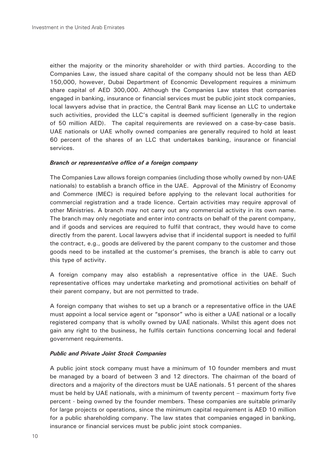either the majority or the minority shareholder or with third parties. According to the Companies Law, the issued share capital of the company should not be less than AED 150,000, however, Dubai Department of Economic Development requires a minimum share capital of AED 300,000. Although the Companies Law states that companies engaged in banking, insurance or financial services must be public joint stock companies, local lawyers advise that in practice, the Central Bank may license an LLC to undertake such activities, provided the LLC's capital is deemed sufficient (generally in the region of 50 million AED). The capital requirements are reviewed on a case-by-case basis. UAE nationals or UAE wholly owned companies are generally required to hold at least 60 percent of the shares of an LLC that undertakes banking, insurance or financial services.

#### *Branch or representative office of a foreign company*

The Companies Law allows foreign companies (including those wholly owned by non-UAE nationals) to establish a branch office in the UAE. Approval of the Ministry of Economy and Commerce (MEC) is required before applying to the relevant local authorities for commercial registration and a trade licence. Certain activities may require approval of other Ministries. A branch may not carry out any commercial activity in its own name. The branch may only negotiate and enter into contracts on behalf of the parent company, and if goods and services are required to fulfil that contract, they would have to come directly from the parent. Local lawyers advise that if incidental support is needed to fulfil the contract, e.g., goods are delivered by the parent company to the customer and those goods need to be installed at the customer's premises, the branch is able to carry out this type of activity.

A foreign company may also establish a representative office in the UAE. Such representative offices may undertake marketing and promotional activities on behalf of their parent company, but are not permitted to trade.

A foreign company that wishes to set up a branch or a representative office in the UAE must appoint a local service agent or "sponsor" who is either a UAE national or a locally registered company that is wholly owned by UAE nationals. Whilst this agent does not gain any right to the business, he fulfils certain functions concerning local and federal government requirements.

#### *Public and Private Joint Stock Companies*

A public joint stock company must have a minimum of 10 founder members and must be managed by a board of between 3 and 12 directors. The chairman of the board of directors and a majority of the directors must be UAE nationals. 51 percent of the shares must be held by UAE nationals, with a minimum of twenty percent – maximum forty five percent - being owned by the founder members. These companies are suitable primarily for large projects or operations, since the minimum capital requirement is AED 10 million for a public shareholding company. The law states that companies engaged in banking, insurance or financial services must be public joint stock companies.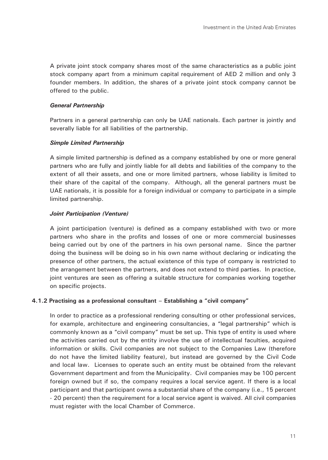A private joint stock company shares most of the same characteristics as a public joint stock company apart from a minimum capital requirement of AED 2 million and only 3 founder members. In addition, the shares of a private joint stock company cannot be offered to the public.

#### *General Partnership*

Partners in a general partnership can only be UAE nationals. Each partner is jointly and severally liable for all liabilities of the partnership.

#### *Simple Limited Partnership*

A simple limited partnership is defined as a company established by one or more general partners who are fully and jointly liable for all debts and liabilities of the company to the extent of all their assets, and one or more limited partners, whose liability is limited to their share of the capital of the company. Although, all the general partners must be UAE nationals, it is possible for a foreign individual or company to participate in a simple limited partnership.

#### *Joint Participation (Venture)*

A joint participation (venture) is defined as a company established with two or more partners who share in the profits and losses of one or more commercial businesses being carried out by one of the partners in his own personal name. Since the partner doing the business will be doing so in his own name without declaring or indicating the presence of other partners, the actual existence of this type of company is restricted to the arrangement between the partners, and does not extend to third parties. In practice, joint ventures are seen as offering a suitable structure for companies working together on specific projects.

#### **4.1.2 Practising as a professional consultant – Establishing a "civil company"**

In order to practice as a professional rendering consulting or other professional services, for example, architecture and engineering consultancies, a "legal partnership" which is commonly known as a "civil company" must be set up. This type of entity is used where the activities carried out by the entity involve the use of intellectual faculties, acquired information or skills. Civil companies are not subject to the Companies Law (therefore do not have the limited liability feature), but instead are governed by the Civil Code and local law. Licenses to operate such an entity must be obtained from the relevant Government department and from the Municipality. Civil companies may be 100 percent foreign owned but if so, the company requires a local service agent. If there is a local participant and that participant owns a substantial share of the company (i.e., 15 percent - 20 percent) then the requirement for a local service agent is waived. All civil companies must register with the local Chamber of Commerce.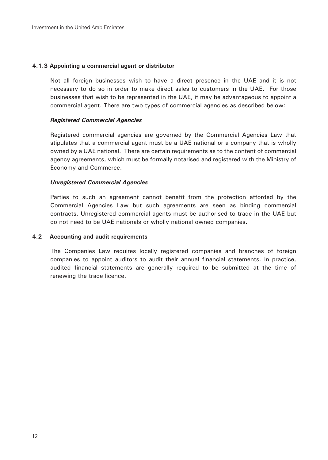# **4.1.3 Appointing a commercial agent or distributor**

Not all foreign businesses wish to have a direct presence in the UAE and it is not necessary to do so in order to make direct sales to customers in the UAE. For those businesses that wish to be represented in the UAE, it may be advantageous to appoint a commercial agent. There are two types of commercial agencies as described below:

# *Registered Commercial Agencies*

Registered commercial agencies are governed by the Commercial Agencies Law that stipulates that a commercial agent must be a UAE national or a company that is wholly owned by a UAE national. There are certain requirements as to the content of commercial agency agreements, which must be formally notarised and registered with the Ministry of Economy and Commerce.

# *Unregistered Commercial Agencies*

Parties to such an agreement cannot benefit from the protection afforded by the Commercial Agencies Law but such agreements are seen as binding commercial contracts. Unregistered commercial agents must be authorised to trade in the UAE but do not need to be UAE nationals or wholly national owned companies.

### **4.2 Accounting and audit requirements**

The Companies Law requires locally registered companies and branches of foreign companies to appoint auditors to audit their annual financial statements. In practice, audited financial statements are generally required to be submitted at the time of renewing the trade licence.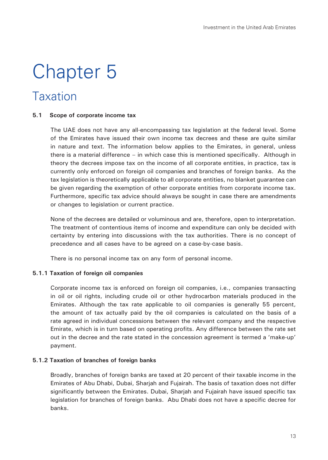# Chapter 5

# Taxation

#### **5.1 Scope of corporate income tax**

The UAE does not have any all-encompassing tax legislation at the federal level. Some of the Emirates have issued their own income tax decrees and these are quite similar in nature and text. The information below applies to the Emirates, in general, unless there is a material difference – in which case this is mentioned specifically. Although in theory the decrees impose tax on the income of all corporate entities, in practice, tax is currently only enforced on foreign oil companies and branches of foreign banks. As the tax legislation is theoretically applicable to all corporate entities, no blanket guarantee can be given regarding the exemption of other corporate entities from corporate income tax. Furthermore, specific tax advice should always be sought in case there are amendments or changes to legislation or current practice.

None of the decrees are detailed or voluminous and are, therefore, open to interpretation. The treatment of contentious items of income and expenditure can only be decided with certainty by entering into discussions with the tax authorities. There is no concept of precedence and all cases have to be agreed on a case-by-case basis.

There is no personal income tax on any form of personal income.

# **5.1.1 Taxation of foreign oil companies**

Corporate income tax is enforced on foreign oil companies, i.e., companies transacting in oil or oil rights, including crude oil or other hydrocarbon materials produced in the Emirates. Although the tax rate applicable to oil companies is generally 55 percent, the amount of tax actually paid by the oil companies is calculated on the basis of a rate agreed in individual concessions between the relevant company and the respective Emirate, which is in turn based on operating profits. Any difference between the rate set out in the decree and the rate stated in the concession agreement is termed a 'make-up' payment.

# **5.1.2 Taxation of branches of foreign banks**

Broadly, branches of foreign banks are taxed at 20 percent of their taxable income in the Emirates of Abu Dhabi, Dubai, Sharjah and Fujairah. The basis of taxation does not differ significantly between the Emirates. Dubai, Sharjah and Fujairah have issued specific tax legislation for branches of foreign banks. Abu Dhabi does not have a specific decree for banks.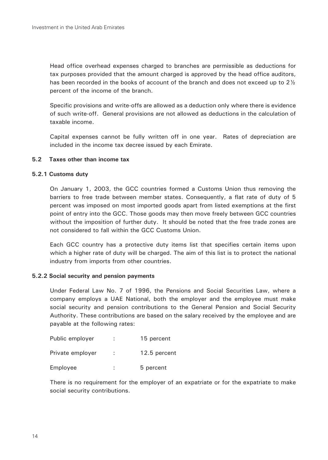Head office overhead expenses charged to branches are permissible as deductions for tax purposes provided that the amount charged is approved by the head office auditors, has been recorded in the books of account of the branch and does not exceed up to 2 $\frac{1}{2}$ percent of the income of the branch.

Specific provisions and write-offs are allowed as a deduction only where there is evidence of such write-off. General provisions are not allowed as deductions in the calculation of taxable income.

Capital expenses cannot be fully written off in one year. Rates of depreciation are included in the income tax decree issued by each Emirate.

# **5.2 Taxes other than income tax**

### **5.2.1 Customs duty**

On January 1, 2003, the GCC countries formed a Customs Union thus removing the barriers to free trade between member states. Consequently, a flat rate of duty of 5 percent was imposed on most imported goods apart from listed exemptions at the first point of entry into the GCC. Those goods may then move freely between GCC countries without the imposition of further duty. It should be noted that the free trade zones are not considered to fall within the GCC Customs Union.

Each GCC country has a protective duty items list that specifies certain items upon which a higher rate of duty will be charged. The aim of this list is to protect the national industry from imports from other countries.

#### **5.2.2 Social security and pension payments**

Under Federal Law No. 7 of 1996, the Pensions and Social Securities Law, where a company employs a UAE National, both the employer and the employee must make social security and pension contributions to the General Pension and Social Security Authority. These contributions are based on the salary received by the employee and are payable at the following rates:

| Public employer  |   | 15 percent   |
|------------------|---|--------------|
| Private employer |   | 12.5 percent |
| Employee         | ÷ | 5 percent    |

There is no requirement for the employer of an expatriate or for the expatriate to make social security contributions.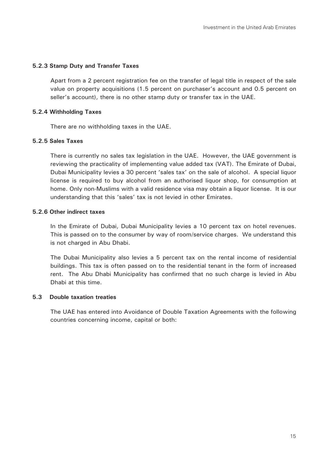#### **5.2.3 Stamp Duty and Transfer Taxes**

Apart from a 2 percent registration fee on the transfer of legal title in respect of the sale value on property acquisitions (1.5 percent on purchaser's account and 0.5 percent on seller's account), there is no other stamp duty or transfer tax in the UAE.

#### **5.2.4 Withholding Taxes**

There are no withholding taxes in the UAE.

#### **5.2.5 Sales Taxes**

There is currently no sales tax legislation in the UAE. However, the UAE government is reviewing the practicality of implementing value added tax (VAT). The Emirate of Dubai, Dubai Municipality levies a 30 percent 'sales tax' on the sale of alcohol. A special liquor license is required to buy alcohol from an authorised liquor shop, for consumption at home. Only non-Muslims with a valid residence visa may obtain a liquor license. It is our understanding that this 'sales' tax is not levied in other Emirates.

# **5.2.6 Other indirect taxes**

In the Emirate of Dubai, Dubai Municipality levies a 10 percent tax on hotel revenues. This is passed on to the consumer by way of room/service charges. We understand this is not charged in Abu Dhabi.

The Dubai Municipality also levies a 5 percent tax on the rental income of residential buildings. This tax is often passed on to the residential tenant in the form of increased rent. The Abu Dhabi Municipality has confirmed that no such charge is levied in Abu Dhabi at this time.

### **5.3 Double taxation treaties**

The UAE has entered into Avoidance of Double Taxation Agreements with the following countries concerning income, capital or both: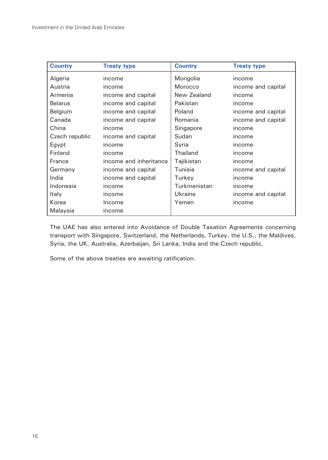| <b>Country</b> | <b>Treaty type</b>     | <b>Country</b> | <b>Treaty type</b> |
|----------------|------------------------|----------------|--------------------|
| Algeria        | income                 | Mongolia       | income             |
| Austria        | income                 | Morocco        | income and capital |
| Armenia        | income and capital     | New Zealand    | income             |
| <b>Belarus</b> | income and capital     | Pakistan       | income             |
| Belgium        | income and capital     | Poland         | income and capital |
| Canada         | income and capital     | Romania        | income and capital |
| China          | income                 | Singapore      | income             |
| Czech republic | income and capital     | Sudan          | income             |
| Egypt          | income                 | Syria          | income             |
| Finland        | income                 | Thailand       | income             |
| France         | income and inheritance | Tajikistan     | income             |
| Germany        | income and capital     | Tunisia        | income and capital |
| India          | income and capital     | Turkey         | income             |
| Indonesia      | income                 | Turkmenistan   | income             |
| Italy          | income                 | Ukraine        | income and capital |
| Korea          | Income                 | Yemen          | income             |
| Malaysia       | income                 |                |                    |

The UAE has also entered into Avoidance of Double Taxation Agreements concerning transport with Singapore, Switzerland, the Netherlands, Turkey, the U.S., the Maldives, Syria, the UK, Australia, Azerbaijan, Sri Lanka, India and the Czech republic.

Some of the above treaties are awaiting ratification.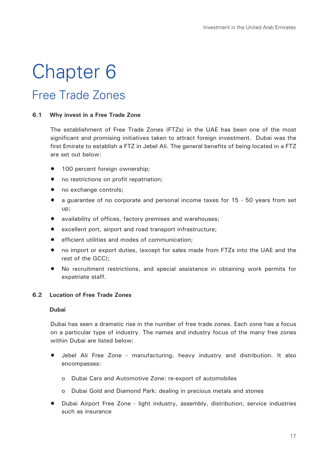# Chapter 6 Free Trade Zones

### **6.1 Why invest in a Free Trade Zone**

The establishment of Free Trade Zones (FTZs) in the UAE has been one of the most significant and promising initiatives taken to attract foreign investment. Dubai was the first Emirate to establish a FTZ in Jebel Ali. The general benefits of being located in a FTZ are set out below:

- 100 percent foreign ownership;
- no restrictions on profit repatriation:
- no exchange controls:
- a guarantee of no corporate and personal income taxes for 15 50 years from set up;
- availability of offices, factory premises and warehouses;
- excellent port, airport and road transport infrastructure;
- efficient utilities and modes of communication;
- no import or export duties, (except for sales made from FTZs into the UAE and the rest of the GCC);
- No recruitment restrictions, and special assistance in obtaining work permits for expatriate staff.

# **6.2 Location of Free Trade Zones**

#### **Dubai**

Dubai has seen a dramatic rise in the number of free trade zones. Each zone has a focus on a particular type of industry. The names and industry focus of the many free zones within Dubai are listed below:

- Jebel Ali Free Zone manufacturing, heavy industry and distribution. It also encompasses:
	- o Dubai Cars and Automotive Zone: re-export of automobiles
	- o Dubai Gold and Diamond Park: dealing in precious metals and stones
- Dubai Airport Free Zone light industry, assembly, distribution, service industries such as insurance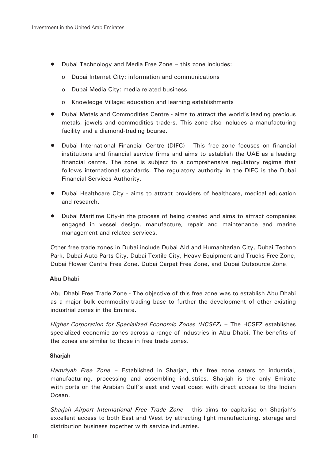- Dubai Technology and Media Free Zone this zone includes:
	- o Dubai Internet City: information and communications
	- o Dubai Media City: media related business
	- o Knowledge Village: education and learning establishments
- Dubai Metals and Commodities Centre aims to attract the world's leading precious metals, jewels and commodities traders. This zone also includes a manufacturing facility and a diamond-trading bourse.
- Dubai International Financial Centre (DIFC) This free zone focuses on financial institutions and financial service firms and aims to establish the UAE as a leading financial centre. The zone is subject to a comprehensive regulatory regime that follows international standards. The regulatory authority in the DIFC is the Dubai Financial Services Authority.
- Dubai Healthcare City aims to attract providers of healthcare, medical education and research.
- Dubai Maritime City-in the process of being created and aims to attract companies engaged in vessel design, manufacture, repair and maintenance and marine management and related services.

Other free trade zones in Dubai include Dubai Aid and Humanitarian City, Dubai Techno Park, Dubai Auto Parts City, Dubai Textile City, Heavy Equipment and Trucks Free Zone, Dubai Flower Centre Free Zone, Dubai Carpet Free Zone, and Dubai Outsource Zone.

#### **Abu Dhabi**

Abu Dhabi Free Trade Zone - The objective of this free zone was to establish Abu Dhabi as a major bulk commodity-trading base to further the development of other existing industrial zones in the Emirate.

*Higher Corporation for Specialized Economic Zones (HCSEZ)* – The HCSEZ establishes specialized economic zones across a range of industries in Abu Dhabi. The benefits of the zones are similar to those in free trade zones.

#### **Sharjah**

*Hamriyah Free Zone* – Established in Sharjah, this free zone caters to industrial, manufacturing, processing and assembling industries. Sharjah is the only Emirate with ports on the Arabian Gulf's east and west coast with direct access to the Indian Ocean.

*Sharjah Airport International Free Trade Zone* - this aims to capitalise on Sharjah's excellent access to both East and West by attracting light manufacturing, storage and distribution business together with service industries.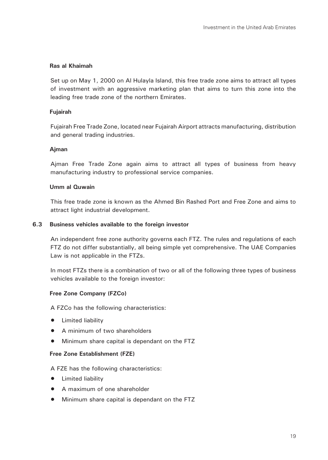### **Ras al Khaimah**

Set up on May 1, 2000 on Al Hulayla Island, this free trade zone aims to attract all types of investment with an aggressive marketing plan that aims to turn this zone into the leading free trade zone of the northern Emirates.

#### **Fujairah**

Fujairah Free Trade Zone, located near Fujairah Airport attracts manufacturing, distribution and general trading industries.

### **Ajman**

Ajman Free Trade Zone again aims to attract all types of business from heavy manufacturing industry to professional service companies.

#### **Umm al Quwain**

This free trade zone is known as the Ahmed Bin Rashed Port and Free Zone and aims to attract light industrial development.

### **6.3 Business vehicles available to the foreign investor**

An independent free zone authority governs each FTZ. The rules and regulations of each FTZ do not differ substantially, all being simple yet comprehensive. The UAE Companies Law is not applicable in the FTZs.

In most FTZs there is a combination of two or all of the following three types of business vehicles available to the foreign investor:

# **Free Zone Company (FZCo)**

A FZCo has the following characteristics:

- Limited liability
- A minimum of two shareholders
- Minimum share capital is dependant on the FTZ

#### **Free Zone Establishment (FZE)**

A FZE has the following characteristics:

- Limited liability
- A maximum of one shareholder
- Minimum share capital is dependant on the FTZ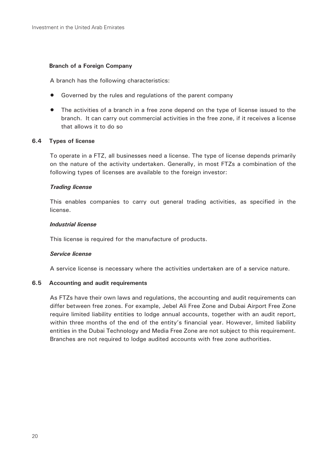#### **Branch of a Foreign Company**

A branch has the following characteristics:

- Governed by the rules and regulations of the parent company
- The activities of a branch in a free zone depend on the type of license issued to the branch. It can carry out commercial activities in the free zone, if it receives a license that allows it to do so

#### **6.4 Types of license**

To operate in a FTZ, all businesses need a license. The type of license depends primarily on the nature of the activity undertaken. Generally, in most FTZs a combination of the following types of licenses are available to the foreign investor:

#### *Trading license*

This enables companies to carry out general trading activities, as specified in the license.

#### *Industrial license*

This license is required for the manufacture of products.

#### *Service license*

A service license is necessary where the activities undertaken are of a service nature.

#### **6.5 Accounting and audit requirements**

As FTZs have their own laws and regulations, the accounting and audit requirements can differ between free zones. For example, Jebel Ali Free Zone and Dubai Airport Free Zone require limited liability entities to lodge annual accounts, together with an audit report, within three months of the end of the entity's financial year. However, limited liability entities in the Dubai Technology and Media Free Zone are not subject to this requirement. Branches are not required to lodge audited accounts with free zone authorities.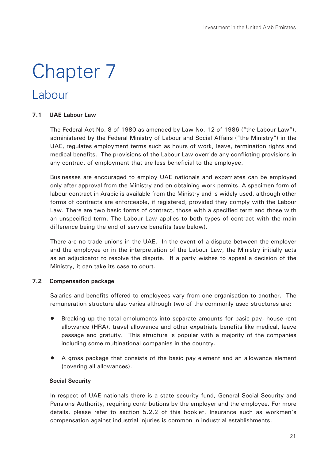# Chapter 7

# Labour

### **7.1 UAE Labour Law**

The Federal Act No. 8 of 1980 as amended by Law No. 12 of 1986 ("the Labour Law"), administered by the Federal Ministry of Labour and Social Affairs ("the Ministry") in the UAE, regulates employment terms such as hours of work, leave, termination rights and medical benefits. The provisions of the Labour Law override any conflicting provisions in any contract of employment that are less beneficial to the employee.

Businesses are encouraged to employ UAE nationals and expatriates can be employed only after approval from the Ministry and on obtaining work permits. A specimen form of labour contract in Arabic is available from the Ministry and is widely used, although other forms of contracts are enforceable, if registered, provided they comply with the Labour Law. There are two basic forms of contract, those with a specified term and those with an unspecified term. The Labour Law applies to both types of contract with the main difference being the end of service benefits (see below).

There are no trade unions in the UAE. In the event of a dispute between the employer and the employee or in the interpretation of the Labour Law, the Ministry initially acts as an adjudicator to resolve the dispute. If a party wishes to appeal a decision of the Ministry, it can take its case to court.

# **7.2 Compensation package**

Salaries and benefits offered to employees vary from one organisation to another. The remuneration structure also varies although two of the commonly used structures are:

- Breaking up the total emoluments into separate amounts for basic pay, house rent allowance (HRA), travel allowance and other expatriate benefits like medical, leave passage and gratuity. This structure is popular with a majority of the companies including some multinational companies in the country.
- A gross package that consists of the basic pay element and an allowance element (covering all allowances).

# **Social Security**

In respect of UAE nationals there is a state security fund, General Social Security and Pensions Authority, requiring contributions by the employer and the employee. For more details, please refer to section 5.2.2 of this booklet. Insurance such as workmen's compensation against industrial injuries is common in industrial establishments.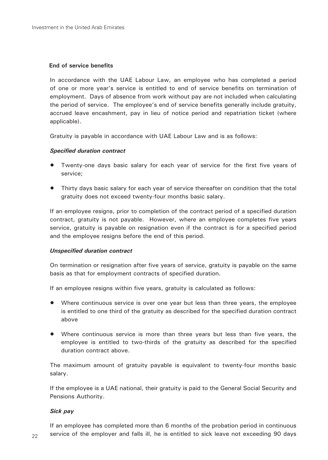### **End of service benefits**

In accordance with the UAE Labour Law, an employee who has completed a period of one or more year's service is entitled to end of service benefits on termination of employment. Days of absence from work without pay are not included when calculating the period of service. The employee's end of service benefits generally include gratuity, accrued leave encashment, pay in lieu of notice period and repatriation ticket (where applicable).

Gratuity is payable in accordance with UAE Labour Law and is as follows:

### *Specified duration contract*

- Twenty-one days basic salary for each year of service for the first five years of service;
- Thirty days basic salary for each year of service thereafter on condition that the total gratuity does not exceed twenty-four months basic salary.

If an employee resigns, prior to completion of the contract period of a specified duration contract, gratuity is not payable. However, where an employee completes five years service, gratuity is payable on resignation even if the contract is for a specified period and the employee resigns before the end of this period.

#### *Unspecified duration contract*

On termination or resignation after five years of service, gratuity is payable on the same basis as that for employment contracts of specified duration.

If an employee resigns within five years, gratuity is calculated as follows:

- Where continuous service is over one year but less than three years, the employee is entitled to one third of the gratuity as described for the specified duration contract above
- Where continuous service is more than three years but less than five years, the employee is entitled to two-thirds of the gratuity as described for the specified duration contract above.

The maximum amount of gratuity payable is equivalent to twenty-four months basic salary.

If the employee is a UAE national, their gratuity is paid to the General Social Security and Pensions Authority.

# *Sick pay*

If an employee has completed more than 6 months of the probation period in continuous service of the employer and falls ill, he is entitled to sick leave not exceeding 90 days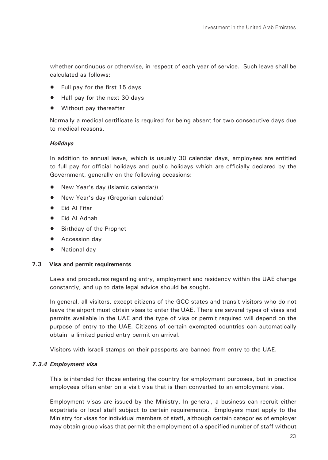whether continuous or otherwise, in respect of each year of service. Such leave shall be calculated as follows:

- Full pay for the first 15 days
- Half pay for the next 30 days
- Without pay thereafter

Normally a medical certificate is required for being absent for two consecutive days due to medical reasons.

### *Holidays*

In addition to annual leave, which is usually 30 calendar days, employees are entitled to full pay for official holidays and public holidays which are officially declared by the Government, generally on the following occasions:

- New Year's day (Islamic calendar))
- New Year's day (Gregorian calendar)
- Eid Al Fitar
- Eid Al Adhah
- Birthday of the Prophet
- Accession day
- National day

# **7.3 Visa and permit requirements**

Laws and procedures regarding entry, employment and residency within the UAE change constantly, and up to date legal advice should be sought.

In general, all visitors, except citizens of the GCC states and transit visitors who do not leave the airport must obtain visas to enter the UAE. There are several types of visas and permits available in the UAE and the type of visa or permit required will depend on the purpose of entry to the UAE. Citizens of certain exempted countries can automatically obtain a limited period entry permit on arrival.

Visitors with Israeli stamps on their passports are banned from entry to the UAE.

# *7.3.4 Employment visa*

This is intended for those entering the country for employment purposes, but in practice employees often enter on a visit visa that is then converted to an employment visa.

Employment visas are issued by the Ministry. In general, a business can recruit either expatriate or local staff subject to certain requirements. Employers must apply to the Ministry for visas for individual members of staff, although certain categories of employer may obtain group visas that permit the employment of a specified number of staff without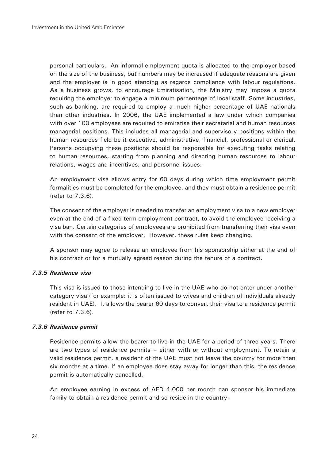personal particulars. An informal employment quota is allocated to the employer based on the size of the business, but numbers may be increased if adequate reasons are given and the employer is in good standing as regards compliance with labour regulations. As a business grows, to encourage Emiratisation, the Ministry may impose a quota requiring the employer to engage a minimum percentage of local staff. Some industries, such as banking, are required to employ a much higher percentage of UAE nationals than other industries. In 2006, the UAE implemented a law under which companies with over 100 employees are required to emiratise their secretarial and human resources managerial positions. This includes all managerial and supervisory positions within the human resources field be it executive, administrative, financial, professional or clerical. Persons occupying these positions should be responsible for executing tasks relating to human resources, starting from planning and directing human resources to labour relations, wages and incentives, and personnel issues.

An employment visa allows entry for 60 days during which time employment permit formalities must be completed for the employee, and they must obtain a residence permit (refer to 7.3.6).

The consent of the employer is needed to transfer an employment visa to a new employer even at the end of a fixed term employment contract, to avoid the employee receiving a visa ban. Certain categories of employees are prohibited from transferring their visa even with the consent of the employer. However, these rules keep changing.

A sponsor may agree to release an employee from his sponsorship either at the end of his contract or for a mutually agreed reason during the tenure of a contract.

#### *7.3.5 Residence visa*

This visa is issued to those intending to live in the UAE who do not enter under another category visa (for example: it is often issued to wives and children of individuals already resident in UAE). It allows the bearer 60 days to convert their visa to a residence permit (refer to 7.3.6).

#### *7.3.6 Residence permit*

Residence permits allow the bearer to live in the UAE for a period of three years. There are two types of residence permits – either with or without employment. To retain a valid residence permit, a resident of the UAE must not leave the country for more than six months at a time. If an employee does stay away for longer than this, the residence permit is automatically cancelled.

An employee earning in excess of AED 4,000 per month can sponsor his immediate family to obtain a residence permit and so reside in the country.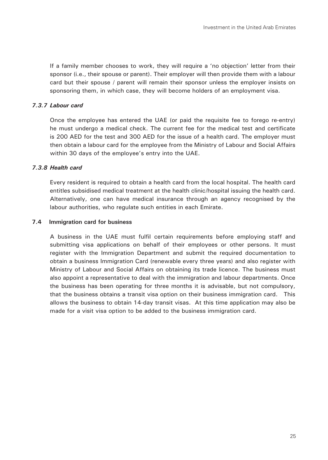If a family member chooses to work, they will require a 'no objection' letter from their sponsor (i.e., their spouse or parent). Their employer will then provide them with a labour card but their spouse / parent will remain their sponsor unless the employer insists on sponsoring them, in which case, they will become holders of an employment visa.

### *7.3.7 Labour card*

Once the employee has entered the UAE (or paid the requisite fee to forego re-entry) he must undergo a medical check. The current fee for the medical test and certificate is 200 AED for the test and 300 AED for the issue of a health card. The employer must then obtain a labour card for the employee from the Ministry of Labour and Social Affairs within 30 days of the employee's entry into the UAE.

#### *7.3.8 Health card*

Every resident is required to obtain a health card from the local hospital. The health card entitles subsidised medical treatment at the health clinic/hospital issuing the health card. Alternatively, one can have medical insurance through an agency recognised by the labour authorities, who regulate such entities in each Emirate.

#### **7.4 Immigration card for business**

A business in the UAE must fulfil certain requirements before employing staff and submitting visa applications on behalf of their employees or other persons. It must register with the Immigration Department and submit the required documentation to obtain a business Immigration Card (renewable every three years) and also register with Ministry of Labour and Social Affairs on obtaining its trade licence. The business must also appoint a representative to deal with the immigration and labour departments. Once the business has been operating for three months it is advisable, but not compulsory, that the business obtains a transit visa option on their business immigration card. This allows the business to obtain 14-day transit visas. At this time application may also be made for a visit visa option to be added to the business immigration card.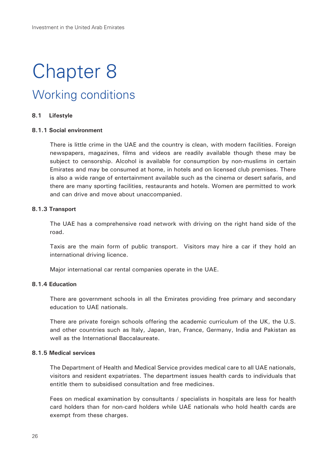# Chapter 8 Working conditions

#### **8.1 Lifestyle**

#### **8.1.1 Social environment**

There is little crime in the UAE and the country is clean, with modern facilities. Foreign newspapers, magazines, films and videos are readily available though these may be subject to censorship. Alcohol is available for consumption by non-muslims in certain Emirates and may be consumed at home, in hotels and on licensed club premises. There is also a wide range of entertainment available such as the cinema or desert safaris, and there are many sporting facilities, restaurants and hotels. Women are permitted to work and can drive and move about unaccompanied.

#### **8.1.3 Transport**

The UAE has a comprehensive road network with driving on the right hand side of the road.

Taxis are the main form of public transport. Visitors may hire a car if they hold an international driving licence.

Major international car rental companies operate in the UAE.

#### **8.1.4 Education**

There are government schools in all the Emirates providing free primary and secondary education to UAE nationals.

There are private foreign schools offering the academic curriculum of the UK, the U.S. and other countries such as Italy, Japan, Iran, France, Germany, India and Pakistan as well as the International Baccalaureate.

# **8.1.5 Medical services**

The Department of Health and Medical Service provides medical care to all UAE nationals, visitors and resident expatriates. The department issues health cards to individuals that entitle them to subsidised consultation and free medicines.

Fees on medical examination by consultants / specialists in hospitals are less for health card holders than for non-card holders while UAE nationals who hold health cards are exempt from these charges.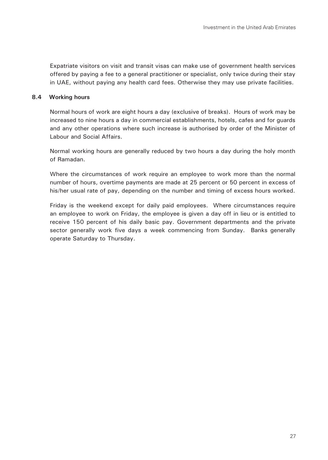Expatriate visitors on visit and transit visas can make use of government health services offered by paying a fee to a general practitioner or specialist, only twice during their stay in UAE, without paying any health card fees. Otherwise they may use private facilities.

# **8.4 Working hours**

Normal hours of work are eight hours a day (exclusive of breaks). Hours of work may be increased to nine hours a day in commercial establishments, hotels, cafes and for guards and any other operations where such increase is authorised by order of the Minister of Labour and Social Affairs.

Normal working hours are generally reduced by two hours a day during the holy month of Ramadan.

Where the circumstances of work require an employee to work more than the normal number of hours, overtime payments are made at 25 percent or 50 percent in excess of his/her usual rate of pay, depending on the number and timing of excess hours worked.

Friday is the weekend except for daily paid employees. Where circumstances require an employee to work on Friday, the employee is given a day off in lieu or is entitled to receive 150 percent of his daily basic pay. Government departments and the private sector generally work five days a week commencing from Sunday. Banks generally operate Saturday to Thursday.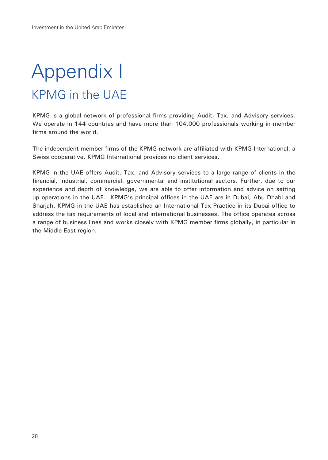# Appendix I KPMG in the UAE

KPMG is a global network of professional firms providing Audit, Tax, and Advisory services. We operate in 144 countries and have more than 104,000 professionals working in member firms around the world.

The independent member firms of the KPMG network are affiliated with KPMG International, a Swiss cooperative. KPMG International provides no client services.

KPMG in the UAE offers Audit, Tax, and Advisory services to a large range of clients in the financial, industrial, commercial, governmental and institutional sectors. Further, due to our experience and depth of knowledge, we are able to offer information and advice on setting up operations in the UAE. KPMG's principal offices in the UAE are in Dubai, Abu Dhabi and Sharjah. KPMG in the UAE has established an International Tax Practice in its Dubai office to address the tax requirements of local and international businesses. The office operates across a range of business lines and works closely with KPMG member firms globally, in particular in the Middle East region.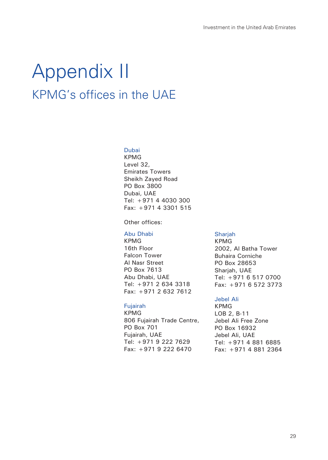# Appendix II KPMG's offices in the UAE

### Dubai

KPMG Level 32, Emirates Towers Sheikh Zayed Road PO Box 3800 Dubai, UAE Tel: +971 4 4030 300 Fax: +971 4 3301 515

Other offices:

# Abu Dhabi

KPMG 16th Floor Falcon Tower Al Nasr Street PO Box 7613 Abu Dhabi, UAE Tel: +971 2 634 3318 Fax: +971 2 632 7612

# Fujairah

KPMG 806 Fujairah Trade Centre, PO Box 701 Fujairah, UAE Tel: +971 9 222 7629 Fax: +971 9 222 6470

#### Shariah

KPMG 2002, Al Batha Tower Buhaira Corniche PO Box 28653 Sharjah, UAE Tel: +971 6 517 0700 Fax: +971 6 572 3773

# Jebel Ali

KPMG LOB 2, B-11 Jebel Ali Free Zone PO Box 16932 Jebel Ali, UAE Tel: +971 4 881 6885 Fax: +971 4 881 2364